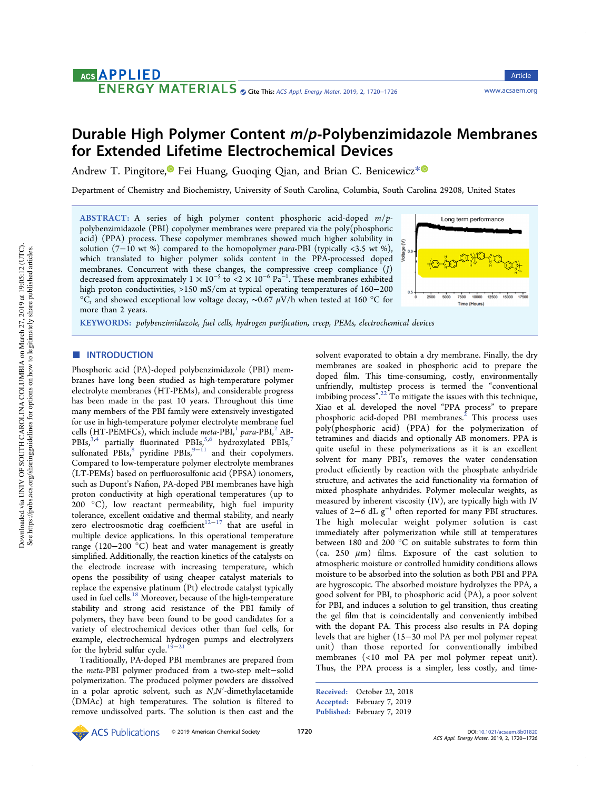# **ACS APPLIED**

CITE THIS TRENT THIS: [ACS Appl. Energy Mater.](http://pubs.acs.org/action/showCitFormats?doi=10.1021/acsaem.8b01820) 2019, 2, 1720–1726 <www.acsaem.org>

# Durable High Polymer Content m/p‑Polybenzimidazole Membranes for Extended Lifetime Electrochemical Devices

Andrew T. Pingitore,<sup>1</sup> Fei Huang, Guoging Oian, and Brian C. Benicewicz<sup>\*</sup><sup>0</sup>

Department of Chemistry and Biochemistry, University of South Carolina, Columbia, South Carolina 29208, United States

ABSTRACT: A series of high polymer content phosphoric acid-doped m/ppolybenzimidazole (PBI) copolymer membranes were prepared via the poly(phosphoric acid) (PPA) process. These copolymer membranes showed much higher solubility in solution (7−10 wt %) compared to the homopolymer para-PBI (typically <3.5 wt %), which translated to higher polymer solids content in the PPA-processed doped membranes. Concurrent with these changes, the compressive creep compliance (J) decreased from approximately  $1 \times 10^{-5}$  to <2  $\times$   $10^{-6}$   $\text{Pa}^{-1}$ . These membranes exhibited high proton conductivities, >150 mS/cm at typical operating temperatures of 160−200 °C, and showed exceptional low voltage decay,  $\sim$ 0.67  $\mu$ V/h when tested at 160 °C for more than 2 years.



Article

KEYWORDS: polybenzimidazole, fuel cells, hydrogen purification, creep, PEMs, electrochemical devices

# **ENTRODUCTION**

Phosphoric acid (PA)-doped polybenzimidazole (PBI) membranes have long been studied as high-temperature polymer electrolyte membranes (HT-PEMs), and considerable progress has been made in the past 10 years. Throughout this time many members of the PBI family were extensively investigated for use in high-temperature polymer electrolyte membrane fuel cells (HT-PEMFCs), which include meta-PBI, $<sup>1</sup>$  para-PBI, $<sup>2</sup>$  AB-</sup></sup>  $PBIs, \stackrel{3,4}{\scriptstyle\bullet}$  partially fluorinated PBIs,<sup>5,6</sup> hydroxylated PBIs,<sup>7</sup> sulfonated PBIs,<sup>8</sup> pyridine PBIs,<sup>9-11</sup> and their copolymers. Compared to low-temperature polymer electrolyte membranes (LT-PEMs) based on perfluorosulfonic acid (PFSA) ionomers, such as Dupont's Nafion, PA-doped PBI membranes have high proton conductivity at high operational temperatures (up to 200 °C), low reactant permeability, high fuel impurity tolerance, excellent oxidative and thermal stability, and nearly zero electroosmotic drag coefficient<sup>12−17</sup> that are useful in multiple device applications. In this operational temperature range (120−200 °C) heat and water management is greatly simplified. Additionally, the reaction kinetics of the catalysts on the electrode increase with increasing temperature, which opens the possibility of using cheaper catalyst materials to replace the expensive platinum (Pt) electrode catalyst typically used in fuel cells.<sup>18</sup> Moreover, because of the high-temperature stability and strong acid resistance of the PBI family of polymers, they have been found to be good candidates for a variety of electrochemical devices other than fuel cells, for example, electrochemical hydrogen pumps and electrolyzers for the hybrid sulfur cycle.<sup>19–21</sup>

Traditionally, PA-doped PBI membranes are prepared from the meta-PBI polymer produced from a two-step melt−solid polymerization. The produced polymer powders are dissolved in a polar aprotic solvent, such as N,N′-dimethylacetamide (DMAc) at high temperatures. The solution is filtered to remove undissolved parts. The solution is then cast and the solvent evaporated to obtain a dry membrane. Finally, the dry membranes are soaked in phosphoric acid to prepare the doped film. This time-consuming, costly, environmentally unfriendly, multistep process is termed the "conventional imbibing process".<sup>22</sup> To mitigate the issues with this technique, Xiao et al. developed the novel "PPA process" to prepare phosphoric acid-doped PBI membranes.<sup>2</sup> This process uses poly(phosphoric acid) (PPA) for the polymerization of tetramines and diacids and optionally AB monomers. PPA is quite useful in these polymerizations as it is an excellent solvent for many PBI's, removes the water condensation product efficiently by reaction with the phosphate anhydride structure, and activates the acid functionality via formation of mixed phosphate anhydrides. Polymer molecular weights, as measured by inherent viscosity (IV), are typically high with IV values of 2−6 dL  $g^{-1}$  often reported for many PBI structures. The high molecular weight polymer solution is cast immediately after polymerization while still at temperatures between 180 and 200 °C on suitable substrates to form thin (ca. 250  $\mu$ m) films. Exposure of the cast solution to atmospheric moisture or controlled humidity conditions allows moisture to be absorbed into the solution as both PBI and PPA are hygroscopic. The absorbed moisture hydrolyzes the PPA, a good solvent for PBI, to phosphoric acid (PA), a poor solvent for PBI, and induces a solution to gel transition, thus creating the gel film that is coincidentally and conveniently imbibed with the dopant PA. This process also results in PA doping levels that are higher (15−30 mol PA per mol polymer repeat unit) than those reported for conventionally imbibed membranes (<10 mol PA per mol polymer repeat unit). Thus, the PPA process is a simpler, less costly, and time-

Received: October 22, 2018 Accepted: February 7, 2019 Published: February 7, 2019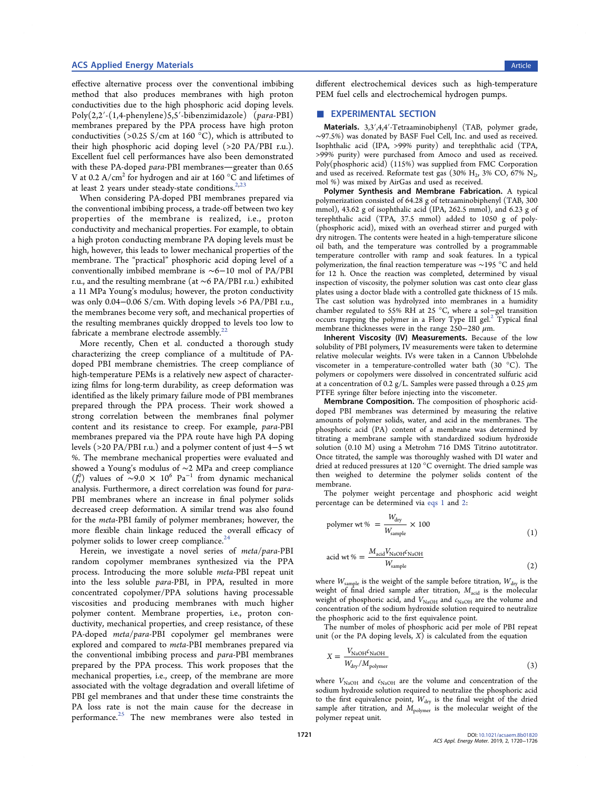## ACS Applied Energy Materials **Article** Article **Article** Article **Article** Article **Article** Article

effective alternative process over the conventional imbibing method that also produces membranes with high proton conductivities due to the high phosphoric acid doping levels. Poly(2,2′-(1,4-phenylene)5,5′-bibenzimidazole) (para-PBI) membranes prepared by the PPA process have high proton conductivities (>0.25 S/cm at 160  $^{\circ}$ C), which is attributed to their high phosphoric acid doping level (>20 PA/PBI r.u.). Excellent fuel cell performances have also been demonstrated with these PA-doped para-PBI membranes-greater than 0.65 V at 0.2  $A/cm<sup>2</sup>$  for hydrogen and air at 160  $^{\circ}$ C and lifetimes of at least 2 years under steady-state conditions. $2,23$ 

When considering PA-doped PBI membranes prepared via the conventional imbibing process, a trade-off between two key properties of the membrane is realized, i.e., proton conductivity and mechanical properties. For example, to obtain a high proton conducting membrane PA doping levels must be high, however, this leads to lower mechanical properties of the membrane. The "practical" phosphoric acid doping level of a conventionally imbibed membrane is ∼6−10 mol of PA/PBI r.u., and the resulting membrane (at ∼6 PA/PBI r.u.) exhibited a 11 MPa Young's modulus; however, the proton conductivity was only 0.04−0.06 S/cm. With doping levels >6 PA/PBI r.u., the membranes become very soft, and mechanical properties of the resulting membranes quickly dropped to levels too low to fabricate a membrane electrode assembly. $22$ 

More recently, Chen et al. conducted a thorough study characterizing the creep compliance of a multitude of PAdoped PBI membrane chemistries. The creep compliance of high-temperature PEMs is a relatively new aspect of characterizing films for long-term durability, as creep deformation was identified as the likely primary failure mode of PBI membranes prepared through the PPA process. Their work showed a strong correlation between the membranes final polymer content and its resistance to creep. For example, para-PBI membranes prepared via the PPA route have high PA doping levels (>20 PA/PBI r.u.) and a polymer content of just 4−5 wt %. The membrane mechanical properties were evaluated and showed a Young's modulus of ∼2 MPa and creep compliance  $(J_s^0)$  values of ~9.0 × 10<sup>6</sup> Pa<sup>-1</sup> from dynamic mechanical analysis. Furthermore, a direct correlation was found for para-PBI membranes where an increase in final polymer solids decreased creep deformation. A similar trend was also found for the meta-PBI family of polymer membranes; however, the more flexible chain linkage reduced the overall efficacy of polymer solids to lower creep compliance.<sup>24</sup>

Herein, we investigate a novel series of meta/para-PBI random copolymer membranes synthesized via the PPA process. Introducing the more soluble meta-PBI repeat unit into the less soluble para-PBI, in PPA, resulted in more concentrated copolymer/PPA solutions having processable viscosities and producing membranes with much higher polymer content. Membrane properties, i.e., proton conductivity, mechanical properties, and creep resistance, of these PA-doped meta/para-PBI copolymer gel membranes were explored and compared to meta-PBI membranes prepared via the conventional imbibing process and para-PBI membranes prepared by the PPA process. This work proposes that the mechanical properties, i.e., creep, of the membrane are more associated with the voltage degradation and overall lifetime of PBI gel membranes and that under these time constraints the PA loss rate is not the main cause for the decrease in performance.<sup>25</sup> The new membranes were also tested in

different electrochemical devices such as high-temperature PEM fuel cells and electrochemical hydrogen pumps.

# **EXPERIMENTAL SECTION**

Materials. 3,3′,4,4′-Tetraaminobiphenyl (TAB, polymer grade, ∼97.5%) was donated by BASF Fuel Cell, Inc. and used as received. Isophthalic acid (IPA, >99% purity) and terephthalic acid (TPA, >99% purity) were purchased from Amoco and used as received. Poly(phosphoric acid) (115%) was supplied from FMC Corporation and used as received. Reformate test gas (30%  $H_2$ , 3% CO, 67%  $N_2$ , mol %) was mixed by AirGas and used as received.

Polymer Synthesis and Membrane Fabrication. A typical polymerization consisted of 64.28 g of tetraaminobiphenyl (TAB, 300 mmol), 43.62 g of isophthalic acid (IPA, 262.5 mmol), and 6.23 g of terephthalic acid (TPA, 37.5 mmol) added to 1050 g of poly- (phosphoric acid), mixed with an overhead stirrer and purged with dry nitrogen. The contents were heated in a high-temperature silicone oil bath, and the temperature was controlled by a programmable temperature controller with ramp and soak features. In a typical polymerization, the final reaction temperature was ∼195 °C and held for 12 h. Once the reaction was completed, determined by visual inspection of viscosity, the polymer solution was cast onto clear glass plates using a doctor blade with a controlled gate thickness of 15 mils. The cast solution was hydrolyzed into membranes in a humidity chamber regulated to 55% RH at 25 °C, where a sol−gel transition occurs trapping the polymer in a Flory Type III gel.<sup>2</sup> Typical final membrane thicknesses were in the range  $250-280 \mu m$ .

Inherent Viscosity (IV) Measurements. Because of the low solubility of PBI polymers, IV measurements were taken to determine relative molecular weights. IVs were taken in a Cannon Ubbelohde viscometer in a temperature-controlled water bath (30 °C). The polymers or copolymers were dissolved in concentrated sulfuric acid at a concentration of 0.2 g/L. Samples were passed through a 0.25  $\mu$ m PTFE syringe filter before injecting into the viscometer.

Membrane Composition. The composition of phosphoric aciddoped PBI membranes was determined by measuring the relative amounts of polymer solids, water, and acid in the membranes. The phosphoric acid (PA) content of a membrane was determined by titrating a membrane sample with standardized sodium hydroxide solution (0.10 M) using a Metrohm 716 DMS Titrino autotitrator. Once titrated, the sample was thoroughly washed with DI water and dried at reduced pressures at 120 °C overnight. The dried sample was then weighed to determine the polymer solids content of the membrane.

The polymer weight percentage and phosphoric acid weight percentage can be determined via eqs 1 and 2:

$$
polymer wt % = \frac{W_{\text{dry}}}{W_{\text{sample}}} \times 100
$$
\n(1)

$$
acid wt % = \frac{M_{acid}V_{NaOH}c_{NaOH}}{W_{sample}}
$$
\n(2)

where  $W_{\text{sample}}$  is the weight of the sample before titration,  $W_{\text{dry}}$  is the weight of final dried sample after titration,  $M_{\text{acid}}$  is the molecular weight of phosphoric acid, and  $V_{\text{NaOH}}$  and  $c_{\text{NaOH}}$  are the volume and concentration of the sodium hydroxide solution required to neutralize the phosphoric acid to the first equivalence point.

The number of moles of phosphoric acid per mole of PBI repeat unit (or the PA doping levels,  $X$ ) is calculated from the equation

$$
X = \frac{V_{\text{NaOH}}c_{\text{NaOH}}}{W_{\text{dry}}/M_{\text{polymer}}}
$$
\n(3)

where  $V_{\text{NaOH}}$  and  $c_{\text{NaOH}}$  are the volume and concentration of the sodium hydroxide solution required to neutralize the phosphoric acid to the first equivalence point,  $W_{\text{dry}}$  is the final weight of the dried sample after titration, and  $M_{\text{polymer}}$  is the molecular weight of the polymer repeat unit.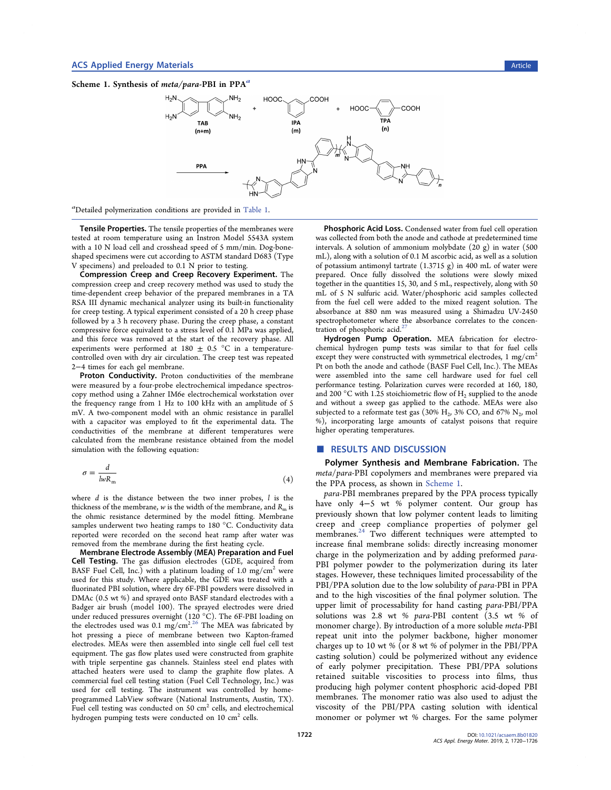



a Detailed polymerization conditions are provided in Table 1.

Tensile Properties. The tensile properties of the membranes were tested at room temperature using an Instron Model 5543A system with a 10 N load cell and crosshead speed of 5 mm/min. Dog-boneshaped specimens were cut according to ASTM standard D683 (Type V specimens) and preloaded to 0.1 N prior to testing.

Compression Creep and Creep Recovery Experiment. The compression creep and creep recovery method was used to study the time-dependent creep behavior of the prepared membranes in a TA RSA III dynamic mechanical analyzer using its built-in functionality for creep testing. A typical experiment consisted of a 20 h creep phase followed by a 3 h recovery phase. During the creep phase, a constant compressive force equivalent to a stress level of 0.1 MPa was applied, and this force was removed at the start of the recovery phase. All experiments were performed at 180  $\pm$  0.5 °C in a temperaturecontrolled oven with dry air circulation. The creep test was repeated 2−4 times for each gel membrane.

Proton Conductivity. Proton conductivities of the membrane were measured by a four-probe electrochemical impedance spectroscopy method using a Zahner IM6e electrochemical workstation over the frequency range from 1 Hz to 100 kHz with an amplitude of 5 mV. A two-component model with an ohmic resistance in parallel with a capacitor was employed to fit the experimental data. The conductivities of the membrane at different temperatures were calculated from the membrane resistance obtained from the model simulation with the following equation:

$$
\sigma = \frac{d}{lwR_m} \tag{4}
$$

where  $d$  is the distance between the two inner probes,  $l$  is the thickness of the membrane,  $w$  is the width of the membrane, and  $R<sub>m</sub>$  is the ohmic resistance determined by the model fitting. Membrane samples underwent two heating ramps to 180 °C. Conductivity data reported were recorded on the second heat ramp after water was removed from the membrane during the first heating cycle.

Membrane Electrode Assembly (MEA) Preparation and Fuel Cell Testing. The gas diffusion electrodes (GDE, acquired from BASF Fuel Cell, Inc.) with a platinum loading of 1.0 mg/cm<sup>2</sup> were used for this study. Where applicable, the GDE was treated with a fluorinated PBI solution, where dry 6F-PBI powders were dissolved in DMAc (0.5 wt %) and sprayed onto BASF standard electrodes with a Badger air brush (model 100). The sprayed electrodes were dried under reduced pressures overnight (120 $\degree$ C). The 6F-PBI loading on the electrodes used was 0.1 mg/cm<sup>2,26</sup> The MEA was fabricated by hot pressing a piece of membrane between two Kapton-framed electrodes. MEAs were then assembled into single cell fuel cell test equipment. The gas flow plates used were constructed from graphite with triple serpentine gas channels. Stainless steel end plates with attached heaters were used to clamp the graphite flow plates. A commercial fuel cell testing station (Fuel Cell Technology, Inc.) was used for cell testing. The instrument was controlled by homeprogrammed LabView software (National Instruments, Austin, TX). Fuel cell testing was conducted on 50 cm<sup>2</sup> cells, and electrochemical hydrogen pumping tests were conducted on  $10 \text{ cm}^2$  cells.

Phosphoric Acid Loss. Condensed water from fuel cell operation was collected from both the anode and cathode at predetermined time intervals. A solution of ammonium molybdate (20 g) in water (500 mL), along with a solution of 0.1 M ascorbic acid, as well as a solution of potassium antimonyl tartrate (1.3715 g) in 400 mL of water were prepared. Once fully dissolved the solutions were slowly mixed together in the quantities 15, 30, and 5 mL, respectively, along with 50 mL of 5 N sulfuric acid. Water/phosphoric acid samples collected from the fuel cell were added to the mixed reagent solution. The absorbance at 880 nm was measured using a Shimadzu UV-2450 spectrophotometer where the absorbance correlates to the concentration of phosphoric acid. $2^2$ 

Hydrogen Pump Operation. MEA fabrication for electrochemical hydrogen pump tests was similar to that for fuel cells except they were constructed with symmetrical electrodes, 1 mg/cm<sup>2</sup> Pt on both the anode and cathode (BASF Fuel Cell, Inc.). The MEAs were assembled into the same cell hardware used for fuel cell performance testing. Polarization curves were recorded at 160, 180, and 200 °C with 1.25 stoichiometric flow of  $H_2$  supplied to the anode and without a sweep gas applied to the cathode. MEAs were also subjected to a reformate test gas (30%  $H_2$ , 3% CO, and 67%  $N_2$ , mol %), incorporating large amounts of catalyst poisons that require higher operating temperatures.

#### ■ RESULTS AND DISCUSSION

Polymer Synthesis and Membrane Fabrication. The meta/para-PBI copolymers and membranes were prepared via the PPA process, as shown in Scheme 1.

para-PBI membranes prepared by the PPA process typically have only 4−5 wt % polymer content. Our group has previously shown that low polymer content leads to limiting creep and creep compliance properties of polymer gel membranes.<sup>24</sup> Two different techniques were attempted to increase final membrane solids: directly increasing monomer charge in the polymerization and by adding preformed para-PBI polymer powder to the polymerization during its later stages. However, these techniques limited processability of the PBI/PPA solution due to the low solubility of para-PBI in PPA and to the high viscosities of the final polymer solution. The upper limit of processability for hand casting para-PBI/PPA solutions was 2.8 wt % para-PBI content (3.5 wt % of monomer charge). By introduction of a more soluble meta-PBI repeat unit into the polymer backbone, higher monomer charges up to 10 wt % (or 8 wt % of polymer in the PBI/PPA casting solution) could be polymerized without any evidence of early polymer precipitation. These PBI/PPA solutions retained suitable viscosities to process into films, thus producing high polymer content phosphoric acid-doped PBI membranes. The monomer ratio was also used to adjust the viscosity of the PBI/PPA casting solution with identical monomer or polymer wt % charges. For the same polymer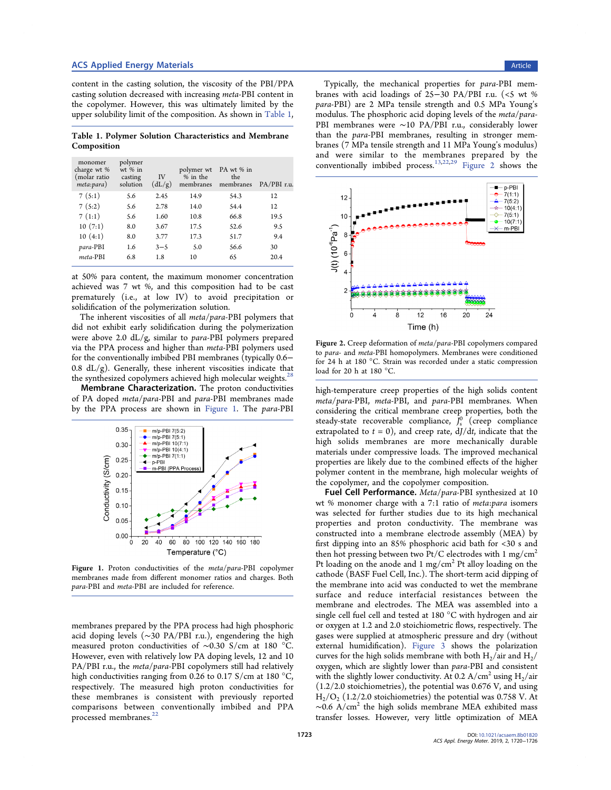# ACS Applied Energy Materials **Article** Article **Article** Article **Article** Article **Article** Article

content in the casting solution, the viscosity of the PBI/PPA casting solution decreased with increasing meta-PBI content in the copolymer. However, this was ultimately limited by the upper solubility limit of the composition. As shown in Table 1,

Table 1. Polymer Solution Characteristics and Membrane Composition

| monomer<br>charge wt %<br>(molar ratio<br>meta:para) | polymer<br>$wt$ % in<br>casting<br>solution | <b>IV</b><br>(dL/g) | polymer wt<br>% in the<br>membranes | PA wt % in<br>the<br>membranes | $PA/PBI$ r.u. |
|------------------------------------------------------|---------------------------------------------|---------------------|-------------------------------------|--------------------------------|---------------|
| 7(5:1)                                               | 5.6                                         | 2.45                | 14.9                                | 54.3                           | 12            |
| 7(5:2)                                               | 5.6                                         | 2.78                | 14.0                                | 54.4                           | 12            |
| 7(1:1)                                               | 5.6                                         | 1.60                | 10.8                                | 66.8                           | 19.5          |
| 10(7:1)                                              | 8.0                                         | 3.67                | 17.5                                | 52.6                           | 9.5           |
| 10(4:1)                                              | 8.0                                         | 3.77                | 17.3                                | 51.7                           | 9.4           |
| para-PBI                                             | 1.6                                         | $3 - 5$             | 5.0                                 | 56.6                           | 30            |
| meta-PRI                                             | 6.8                                         | 1.8                 | 10                                  | 65                             | 20.4          |
|                                                      |                                             |                     |                                     |                                |               |

at 50% para content, the maximum monomer concentration achieved was 7 wt %, and this composition had to be cast prematurely (i.e., at low IV) to avoid precipitation or solidification of the polymerization solution.

The inherent viscosities of all meta/para-PBI polymers that did not exhibit early solidification during the polymerization were above 2.0 dL/g, similar to para-PBI polymers prepared via the PPA process and higher than meta-PBI polymers used for the conventionally imbibed PBI membranes (typically 0.6− 0.8  $dL/g$ ). Generally, these inherent viscosities indicate that the synthesized copolymers achieved high molecular weights.<sup>28</sup>

Membrane Characterization. The proton conductivities of PA doped meta/para-PBI and para-PBI membranes made by the PPA process are shown in Figure 1. The para-PBI



Figure 1. Proton conductivities of the meta/para-PBI copolymer membranes made from different monomer ratios and charges. Both para-PBI and meta-PBI are included for reference.

membranes prepared by the PPA process had high phosphoric acid doping levels (∼30 PA/PBI r.u.), engendering the high measured proton conductivities of ∼0.30 S/cm at 180 °C. However, even with relatively low PA doping levels, 12 and 10 PA/PBI r.u., the meta/para-PBI copolymers still had relatively high conductivities ranging from 0.26 to 0.17 S/cm at 180 °C, respectively. The measured high proton conductivities for these membranes is consistent with previously reported comparisons between conventionally imbibed and PPA processed membranes.<sup>2</sup>

Typically, the mechanical properties for para-PBI membranes with acid loadings of 25−30 PA/PBI r.u. (<5 wt % para-PBI) are 2 MPa tensile strength and 0.5 MPa Young's modulus. The phosphoric acid doping levels of the meta/para-PBI membranes were ∼10 PA/PBI r.u., considerably lower than the para-PBI membranes, resulting in stronger membranes (7 MPa tensile strength and 11 MPa Young's modulus) and were similar to the membranes prepared by the conventionally imbibed process.13,22,29 Figure 2 shows the



Figure 2. Creep deformation of meta/para-PBI copolymers compared to para- and meta-PBI homopolymers. Membranes were conditioned for 24 h at 180 °C. Strain was recorded under a static compression load for 20 h at 180 °C.

high-temperature creep properties of the high solids content meta/para-PBI, meta-PBI, and para-PBI membranes. When considering the critical membrane creep properties, both the steady-state recoverable compliance,  $\bar{J}_s^0$  (creep compliance extrapolated to  $t = 0$ ), and creep rate,  $dJ/dt$ , indicate that the high solids membranes are more mechanically durable materials under compressive loads. The improved mechanical properties are likely due to the combined effects of the higher polymer content in the membrane, high molecular weights of the copolymer, and the copolymer composition.

Fuel Cell Performance. Meta/para-PBI synthesized at 10 wt % monomer charge with a 7:1 ratio of meta:para isomers was selected for further studies due to its high mechanical properties and proton conductivity. The membrane was constructed into a membrane electrode assembly (MEA) by first dipping into an 85% phosphoric acid bath for <30 s and then hot pressing between two Pt/C electrodes with 1 mg/cm2 Pt loading on the anode and 1 mg/cm<sup>2</sup> Pt alloy loading on the cathode (BASF Fuel Cell, Inc.). The short-term acid dipping of the membrane into acid was conducted to wet the membrane surface and reduce interfacial resistances between the membrane and electrodes. The MEA was assembled into a single cell fuel cell and tested at 180 °C with hydrogen and air or oxygen at 1.2 and 2.0 stoichiometric flows, respectively. The gases were supplied at atmospheric pressure and dry (without external humidification). Figure 3 shows the polarization curves for the high solids membrane with both  $H_2/$ air and  $H_2/$ oxygen, which are slightly lower than para-PBI and consistent with the slightly lower conductivity. At 0.2  $A/cm^2$  using  $H<sub>2</sub>/air$ (1.2/2.0 stoichiometries), the potential was 0.676 V, and using  $H_2/O_2$  (1.2/2.0 stoichiometries) the potential was 0.758 V. At  $\sim$ 0.6 A/cm<sup>2</sup> the high solids membrane MEA exhibited mass transfer losses. However, very little optimization of MEA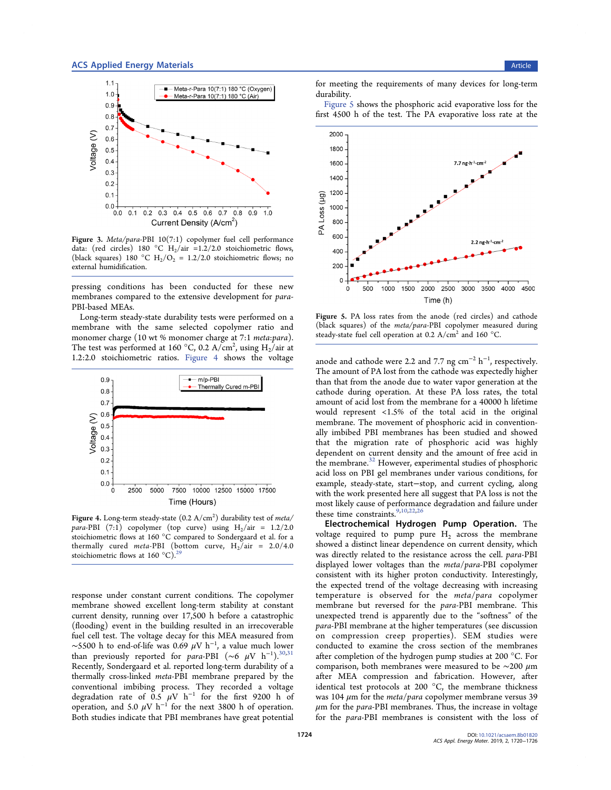

Figure 3. Meta/para-PBI 10(7:1) copolymer fuel cell performance data: (red circles) 180 °C H<sub>2</sub>/air =1.2/2.0 stoichiometric flows, (black squares) 180 °C H<sub>2</sub>/O<sub>2</sub> = 1.2/2.0 stoichiometric flows; no external humidification.

pressing conditions has been conducted for these new membranes compared to the extensive development for para-PBI-based MEAs.

Long-term steady-state durability tests were performed on a membrane with the same selected copolymer ratio and monomer charge (10 wt % monomer charge at 7:1 *meta:para*). The test was performed at 160 °C, 0.2 A/cm<sup>2</sup>, using  $\text{H}_2\text{/air}$  at 1.2:2.0 stoichiometric ratios. Figure 4 shows the voltage



Figure 4. Long-term steady-state  $(0.2~\mathrm{A/cm^2})$  durability test of meta/ para-PBI (7:1) copolymer (top curve) using  $H_2/air = 1.2/2.0$ stoichiometric flows at 160 °C compared to Sondergaard et al. for a thermally cured meta-PBI (bottom curve,  $H_2/air = 2.0/4.0$ stoichiometric flows at 160  $^{\circ}$ C).<sup>29</sup>

response under constant current conditions. The copolymer membrane showed excellent long-term stability at constant current density, running over 17,500 h before a catastrophic (flooding) event in the building resulted in an irrecoverable fuel cell test. The voltage decay for this MEA measured from ~5500 h to end-of-life was 0.69  $\mu$ V h<sup>-1</sup>, a value much lower than previously reported for para-PBI (~6  $\mu$ V h<sup>-1</sup>).<sup>30,31</sup> Recently, Sondergaard et al. reported long-term durability of a thermally cross-linked meta-PBI membrane prepared by the conventional imbibing process. They recorded a voltage degradation rate of  $0.5 \mu V$  h<sup>-1</sup> for the first 9200 h of operation, and 5.0  $\mu$ V h<sup>-1</sup> for the next 3800 h of operation. Both studies indicate that PBI membranes have great potential

for meeting the requirements of many devices for long-term durability.

Figure 5 shows the phosphoric acid evaporative loss for the first 4500 h of the test. The PA evaporative loss rate at the



Figure 5. PA loss rates from the anode (red circles) and cathode (black squares) of the meta/para-PBI copolymer measured during steady-state fuel cell operation at 0.2  $A/cm<sup>2</sup>$  and 160 °C.

anode and cathode were 2.2 and 7.7 ng  $cm^{-2}$   $h^{-1}$ , respectively. The amount of PA lost from the cathode was expectedly higher than that from the anode due to water vapor generation at the cathode during operation. At these PA loss rates, the total amount of acid lost from the membrane for a 40000 h lifetime would represent <1.5% of the total acid in the original membrane. The movement of phosphoric acid in conventionally imbibed PBI membranes has been studied and showed that the migration rate of phosphoric acid was highly dependent on current density and the amount of free acid in the membrane.32 However, experimental studies of phosphoric acid loss on PBI gel membranes under various conditions, for example, steady-state, start−stop, and current cycling, along with the work presented here all suggest that PA loss is not the most likely cause of performance degradation and failure under these time constraints.<sup>9,10,22,2</sup>

Electrochemical Hydrogen Pump Operation. The voltage required to pump pure  $H<sub>2</sub>$  across the membrane showed a distinct linear dependence on current density, which was directly related to the resistance across the cell. para-PBI displayed lower voltages than the meta/para-PBI copolymer consistent with its higher proton conductivity. Interestingly, the expected trend of the voltage decreasing with increasing temperature is observed for the meta/para copolymer membrane but reversed for the para-PBI membrane. This unexpected trend is apparently due to the "softness" of the para-PBI membrane at the higher temperatures (see discussion on compression creep properties). SEM studies were conducted to examine the cross section of the membranes after completion of the hydrogen pump studies at 200 °C. For comparison, both membranes were measured to be  $\sim$ 200 µm after MEA compression and fabrication. However, after identical test protocols at 200 °C, the membrane thickness was 104  $\mu$ m for the *meta*/para copolymer membrane versus 39  $\mu$ m for the *para*-PBI membranes. Thus, the increase in voltage for the para-PBI membranes is consistent with the loss of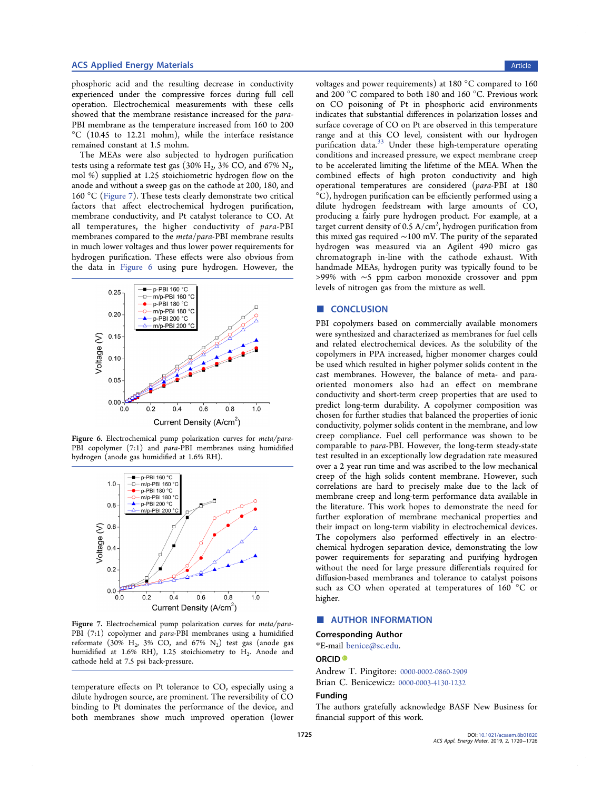### ACS Applied Energy Materials **Article** Article **Article** Article **Article** Article **Article** Article **Article** Article

phosphoric acid and the resulting decrease in conductivity experienced under the compressive forces during full cell operation. Electrochemical measurements with these cells showed that the membrane resistance increased for the para-PBI membrane as the temperature increased from 160 to 200 °C (10.45 to 12.21 mohm), while the interface resistance remained constant at 1.5 mohm.

The MEAs were also subjected to hydrogen purification tests using a reformate test gas (30% H<sub>2</sub>, 3% CO, and 67% N<sub>2</sub>, mol %) supplied at 1.25 stoichiometric hydrogen flow on the anode and without a sweep gas on the cathode at 200, 180, and 160 °C (Figure 7). These tests clearly demonstrate two critical factors that affect electrochemical hydrogen purification, membrane conductivity, and Pt catalyst tolerance to CO. At all temperatures, the higher conductivity of para-PBI membranes compared to the meta/para-PBI membrane results in much lower voltages and thus lower power requirements for hydrogen purification. These effects were also obvious from the data in Figure 6 using pure hydrogen. However, the



Figure 6. Electrochemical pump polarization curves for meta/para-PBI copolymer (7:1) and *para*-PBI membranes using humidified hydrogen (anode gas humidified at 1.6% RH).



Figure 7. Electrochemical pump polarization curves for meta/para-PBI (7:1) copolymer and para-PBI membranes using a humidified reformate  $(30\% \text{ H}_2, 3\% \text{ CO}, \text{ and } 67\% \text{ N}_2)$  test gas (anode gas humidified at 1.6% RH), 1.25 stoichiometry to H<sub>2</sub>. Anode and cathode held at 7.5 psi back-pressure.

temperature effects on Pt tolerance to CO, especially using a dilute hydrogen source, are prominent. The reversibility of CO binding to Pt dominates the performance of the device, and both membranes show much improved operation (lower

voltages and power requirements) at 180 °C compared to 160 and 200 °C compared to both 180 and 160 °C. Previous work on CO poisoning of Pt in phosphoric acid environments indicates that substantial differences in polarization losses and surface coverage of CO on Pt are observed in this temperature range and at this CO level, consistent with our hydrogen purification data.<sup>33</sup> Under these high-temperature operating conditions and increased pressure, we expect membrane creep to be accelerated limiting the lifetime of the MEA. When the combined effects of high proton conductivity and high operational temperatures are considered (para-PBI at 180 °C), hydrogen purification can be efficiently performed using a dilute hydrogen feedstream with large amounts of CO, producing a fairly pure hydrogen product. For example, at a target current density of  $0.5 \text{ A/cm}^2$ , hydrogen purification from this mixed gas required ∼100 mV. The purity of the separated hydrogen was measured via an Agilent 490 micro gas chromatograph in-line with the cathode exhaust. With handmade MEAs, hydrogen purity was typically found to be >99% with ∼5 ppm carbon monoxide crossover and ppm levels of nitrogen gas from the mixture as well.

#### ■ CONCLUSION

PBI copolymers based on commercially available monomers were synthesized and characterized as membranes for fuel cells and related electrochemical devices. As the solubility of the copolymers in PPA increased, higher monomer charges could be used which resulted in higher polymer solids content in the cast membranes. However, the balance of meta- and paraoriented monomers also had an effect on membrane conductivity and short-term creep properties that are used to predict long-term durability. A copolymer composition was chosen for further studies that balanced the properties of ionic conductivity, polymer solids content in the membrane, and low creep compliance. Fuel cell performance was shown to be comparable to para-PBI. However, the long-term steady-state test resulted in an exceptionally low degradation rate measured over a 2 year run time and was ascribed to the low mechanical creep of the high solids content membrane. However, such correlations are hard to precisely make due to the lack of membrane creep and long-term performance data available in the literature. This work hopes to demonstrate the need for further exploration of membrane mechanical properties and their impact on long-term viability in electrochemical devices. The copolymers also performed effectively in an electrochemical hydrogen separation device, demonstrating the low power requirements for separating and purifying hydrogen without the need for large pressure differentials required for diffusion-based membranes and tolerance to catalyst poisons such as CO when operated at temperatures of 160 °C or higher.

# ■ AUTHOR INFORMATION

# Corresponding Author

\*E-mail [benice@sc.edu.](mailto:benice@sc.edu)

# ORCID<sup>®</sup>

Andrew T. Pingitore: [0000-0002-0860-2909](http://orcid.org/0000-0002-0860-2909) Brian C. Benicewicz: [0000-0003-4130-1232](http://orcid.org/0000-0003-4130-1232)

#### Funding

The authors gratefully acknowledge BASF New Business for financial support of this work.